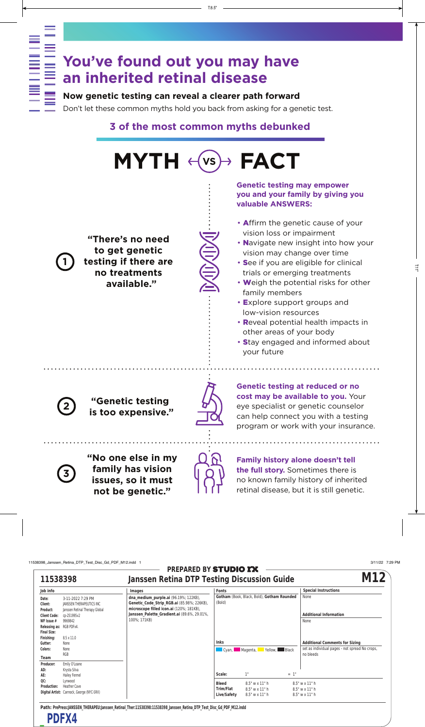# **You've found out you may have an inherited retinal disease**

### **Now genetic testing can reveal a clearer path forward**

Don't let these common myths hold you back from asking for a genetic test.

## **3 of the most common myths debunked**

• Affirm the genetic cause of your vision loss or impairment • Navigate new insight into how your vision may change over time • See if you are eligible for clinical trials or emerging treatments • Weigh the potential risks for other family members • Explore support groups and low-vision resources • Reveal potential health impacts in other areas of your body • Stay engaged and informed about your future **"No one else in my family has vision issues, so it must "Genetic testing is too expensive." MYTH FACT "There's no need to get genetic testing if there are no treatments available." VS Genetic testing may empower you and your family by giving you valuable ANSWERS: Family history alone doesn't tell the full story.** Sometimes there is no known family history of inherited **Genetic testing at reduced or no cost may be available to you.** Your eye specialist or genetic counselor can help connect you with a testing program or work with your insurance. **3 2 1**

retinal disease, but it is still genetic.

**not be genetic."**